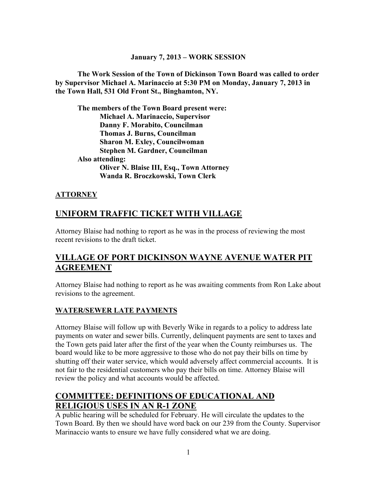#### **January 7, 2013 – WORK SESSION**

**The Work Session of the Town of Dickinson Town Board was called to order by Supervisor Michael A. Marinaccio at 5:30 PM on Monday, January 7, 2013 in the Town Hall, 531 Old Front St., Binghamton, NY.**

**The members of the Town Board present were: Michael A. Marinaccio, Supervisor Danny F. Morabito, Councilman Thomas J. Burns, Councilman Sharon M. Exley, Councilwoman Stephen M. Gardner, Councilman Also attending: Oliver N. Blaise III, Esq., Town Attorney Wanda R. Broczkowski, Town Clerk**

### **ATTORNEY**

### **UNIFORM TRAFFIC TICKET WITH VILLAGE**

Attorney Blaise had nothing to report as he was in the process of reviewing the most recent revisions to the draft ticket.

## **VILLAGE OF PORT DICKINSON WAYNE AVENUE WATER PIT AGREEMENT**

Attorney Blaise had nothing to report as he was awaiting comments from Ron Lake about revisions to the agreement.

### **WATER/SEWER LATE PAYMENTS**

Attorney Blaise will follow up with Beverly Wike in regards to a policy to address late payments on water and sewer bills. Currently, delinquent payments are sent to taxes and the Town gets paid later after the first of the year when the County reimburses us. The board would like to be more aggressive to those who do not pay their bills on time by shutting off their water service, which would adversely affect commercial accounts. It is not fair to the residential customers who pay their bills on time. Attorney Blaise will review the policy and what accounts would be affected.

## **COMMITTEE: DEFINITIONS OF EDUCATIONAL AND RELIGIOUS USES IN AN R-1 ZONE**

A public hearing will be scheduled for February. He will circulate the updates to the Town Board. By then we should have word back on our 239 from the County. Supervisor Marinaccio wants to ensure we have fully considered what we are doing.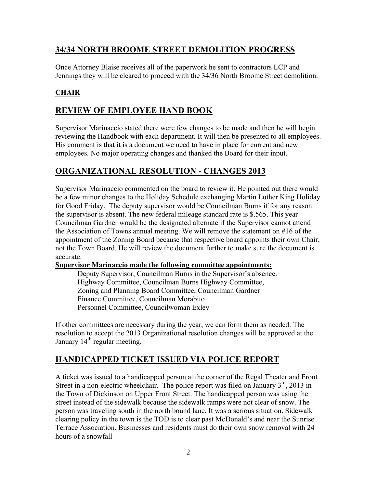# **34/34 NORTH BROOME STREET DEMOLITION PROGRESS**

Once Attorney Blaise receives all of the paperwork he sent to contractors LCP and Jennings they will be cleared to proceed with the 34/36 North Broome Street demolition.

### **CHAIR**

### **REVIEW OF EMPLOYEE HAND BOOK**

Supervisor Marinaccio stated there were few changes to be made and then he will begin reviewing the Handbook with each department. It will then be presented to all employees. His comment is that it is a document we need to have in place for current and new employees. No major operating changes and thanked the Board for their input.

### **ORGANIZATIONAL RESOLUTION - CHANGES 2013**

Supervisor Marinaccio commented on the board to review it. He pointed out there would be a few minor changes to the Holiday Schedule exchanging Martin Luther King Holiday for Good Friday. The deputy supervisor would be Councilman Burns if for any reason the supervisor is absent. The new federal mileage standard rate is \$.565. This year Councilman Gardner would be the designated alternate if the Supervisor cannot attend the Association of Towns annual meeting. We will remove the statement on #16 of the appointment of the Zoning Board because that respective board appoints their own Chair, not the Town Board. He will review the document further to make sure the document is accurate.

### **Supervisor Marinaccio made the following committee appointments:**

Deputy Supervisor, Councilman Burns in the Supervisor's absence. Highway Committee, Councilman Burns Highway Committee, Zoning and Planning Board Committee, Councilman Gardner Finance Committee, Councilman Morabito Personnel Committee, Councilwoman Exley

If other committees are necessary during the year, we can form them as needed. The resolution to accept the 2013 Organizational resolution changes will be approved at the January  $14<sup>th</sup>$  regular meeting.

# **HANDICAPPED TICKET ISSUED VIA POLICE REPORT**

A ticket was issued to a handicapped person at the corner of the Regal Theater and Front Street in a non-electric wheelchair. The police report was filed on January  $3<sup>rd</sup>$ , 2013 in the Town of Dickinson on Upper Front Street. The handicapped person was using the street instead of the sidewalk because the sidewalk ramps were not clear of snow. The person was traveling south in the north bound lane. It was a serious situation. Sidewalk clearing policy in the town is the TOD is to clear past McDonald's and near the Sunrise Terrace Association. Businesses and residents must do their own snow removal with 24 hours of a snowfall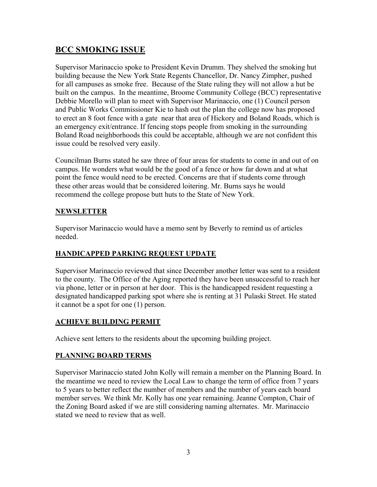# **BCC SMOKING ISSUE**

Supervisor Marinaccio spoke to President Kevin Drumm. They shelved the smoking hut building because the New York State Regents Chancellor, Dr. Nancy Zimpher, pushed for all campuses as smoke free. Because of the State ruling they will not allow a hut be built on the campus. In the meantime, Broome Community College (BCC) representative Debbie Morello will plan to meet with Supervisor Marinaccio, one (1) Council person and Public Works Commissioner Kie to hash out the plan the college now has proposed to erect an 8 foot fence with a gate near that area of Hickory and Boland Roads, which is an emergency exit/entrance. If fencing stops people from smoking in the surrounding Boland Road neighborhoods this could be acceptable, although we are not confident this issue could be resolved very easily.

Councilman Burns stated he saw three of four areas for students to come in and out of on campus. He wonders what would be the good of a fence or how far down and at what point the fence would need to be erected. Concerns are that if students come through these other areas would that be considered loitering. Mr. Burns says he would recommend the college propose butt huts to the State of New York.

### **NEWSLETTER**

Supervisor Marinaccio would have a memo sent by Beverly to remind us of articles needed.

### **HANDICAPPED PARKING REQUEST UPDATE**

Supervisor Marinaccio reviewed that since December another letter was sent to a resident to the county. The Office of the Aging reported they have been unsuccessful to reach her via phone, letter or in person at her door. This is the handicapped resident requesting a designated handicapped parking spot where she is renting at 31 Pulaski Street. He stated it cannot be a spot for one (1) person.

### **ACHIEVE BUILDING PERMIT**

Achieve sent letters to the residents about the upcoming building project.

### **PLANNING BOARD TERMS**

Supervisor Marinaccio stated John Kolly will remain a member on the Planning Board. In the meantime we need to review the Local Law to change the term of office from 7 years to 5 years to better reflect the number of members and the number of years each board member serves. We think Mr. Kolly has one year remaining. Jeanne Compton, Chair of the Zoning Board asked if we are still considering naming alternates. Mr. Marinaccio stated we need to review that as well.